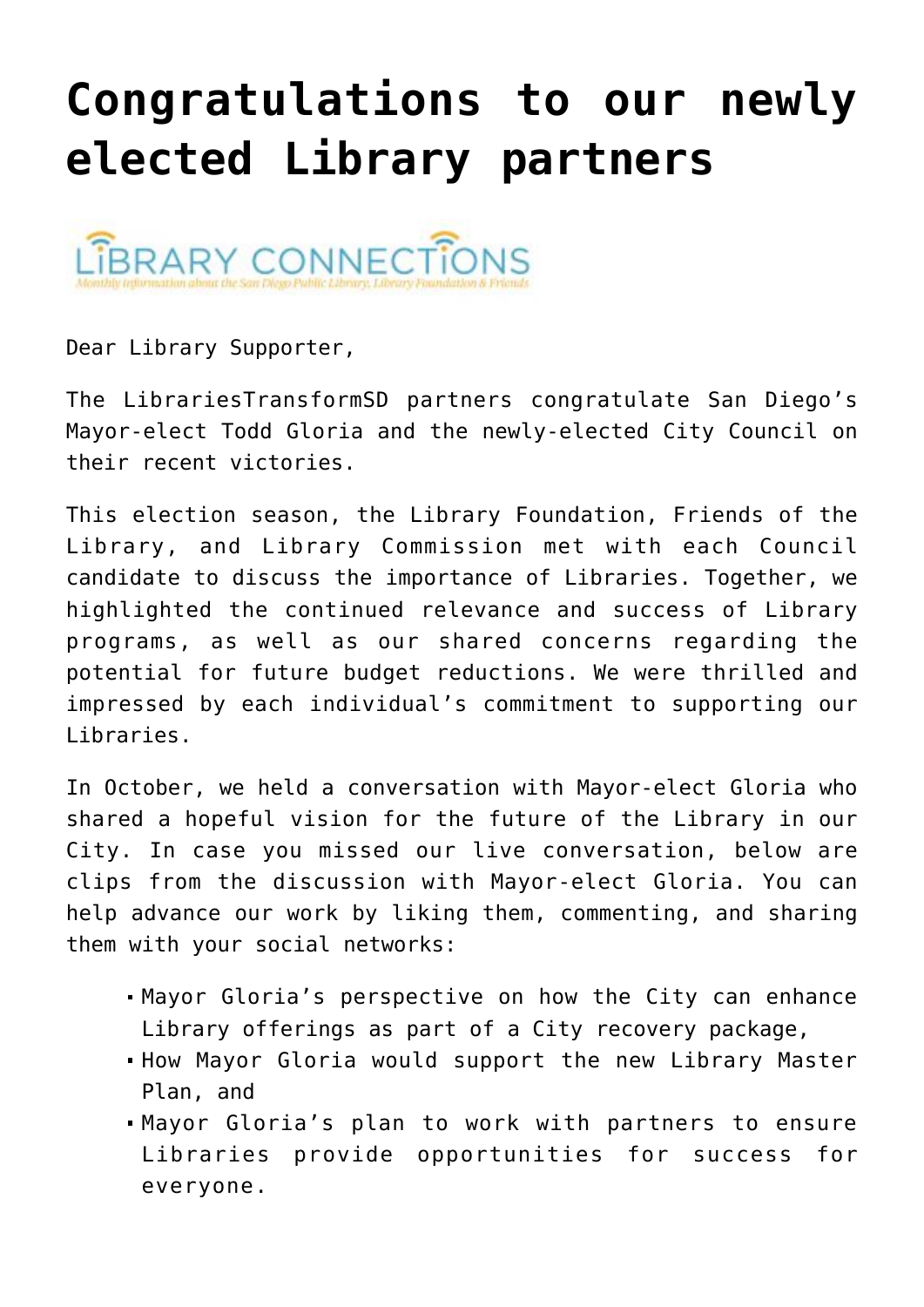## **[Congratulations to our newly](https://sancarlosfriendsofthelibrary.org/2020/11/12/congratulations-to-our-newly-elected-library-partners/) [elected Library partners](https://sancarlosfriendsofthelibrary.org/2020/11/12/congratulations-to-our-newly-elected-library-partners/)**



Dear Library Supporter,

The LibrariesTransformSD partners congratulate San Diego's Mayor-elect Todd Gloria and the newly-elected City Council on their recent victories.

This election season, the Library Foundation, Friends of the Library, and Library Commission met with each Council candidate to discuss the importance of Libraries. Together, we highlighted the continued relevance and success of Library programs, as well as our shared concerns regarding the potential for future budget reductions. We were thrilled and impressed by each individual's commitment to supporting our Libraries.

In October, we held a conversation with Mayor-elect Gloria who shared a hopeful vision for the future of the Library in our City. In case you missed our live conversation, below are clips from the discussion with Mayor-elect Gloria. You can help advance our work by liking them, commenting, and sharing them with your social networks:

- Mayor Gloria's perspective on [how the City can enhance](https://www.youtube.com/watch?v=d0qRMLlYMOw&feature=youtu.be) [Library offerings](https://www.youtube.com/watch?v=d0qRMLlYMOw&feature=youtu.be) as part of a City recovery package,
- [How Mayor Gloria would support the new Library Master](https://www.youtube.com/watch?v=QpMnuRUL1aM&feature=youtu.be) [Plan,](https://www.youtube.com/watch?v=QpMnuRUL1aM&feature=youtu.be) and
- [Mayor Gloria's plan to work with partners](https://www.youtube.com/watch?v=6kMLgdcE-Xc&feature=youtu.be) to ensure Libraries provide opportunities for success for everyone.